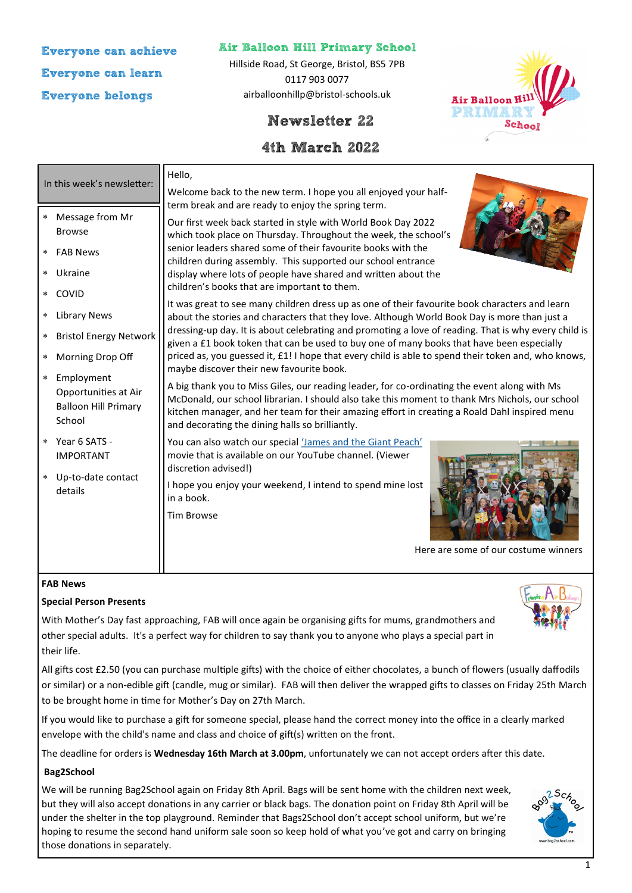**Everyone can achieve Everyone can learn Everyone belongs**

**Air Balloon Hill Primary School**

Hillside Road, St George, Bristol, BS5 7PB 0117 903 0077 airballoonhillp@bristol-schools.uk

# **Newsletter 22**

## **4th March 2022**



| In this week's newsletter:                                                                                                                                                                                                                             | Hello,<br>Welcome back to the new term. I hope you all enjoyed your half-                                                                                                                                                                                                                                                                                                                                                                                                                                                                                                                                                                                                                                                                                                                                                                                                                                                                                                                                                                                                                                                                                                                                                                                                                                                                                 |
|--------------------------------------------------------------------------------------------------------------------------------------------------------------------------------------------------------------------------------------------------------|-----------------------------------------------------------------------------------------------------------------------------------------------------------------------------------------------------------------------------------------------------------------------------------------------------------------------------------------------------------------------------------------------------------------------------------------------------------------------------------------------------------------------------------------------------------------------------------------------------------------------------------------------------------------------------------------------------------------------------------------------------------------------------------------------------------------------------------------------------------------------------------------------------------------------------------------------------------------------------------------------------------------------------------------------------------------------------------------------------------------------------------------------------------------------------------------------------------------------------------------------------------------------------------------------------------------------------------------------------------|
| Message from Mr<br>$\ast$<br><b>Browse</b><br><b>FAB News</b><br>Ukraine<br>COVID<br><b>Library News</b><br><b>Bristol Energy Network</b><br>Morning Drop Off<br>Employment<br>$\ast$<br>Opportunities at Air<br><b>Balloon Hill Primary</b><br>School | term break and are ready to enjoy the spring term.<br>Our first week back started in style with World Book Day 2022<br>which took place on Thursday. Throughout the week, the school's<br>senior leaders shared some of their favourite books with the<br>children during assembly. This supported our school entrance<br>display where lots of people have shared and written about the<br>children's books that are important to them.<br>It was great to see many children dress up as one of their favourite book characters and learn<br>about the stories and characters that they love. Although World Book Day is more than just a<br>dressing-up day. It is about celebrating and promoting a love of reading. That is why every child is<br>given a £1 book token that can be used to buy one of many books that have been especially<br>priced as, you guessed it, £1! I hope that every child is able to spend their token and, who knows,<br>maybe discover their new favourite book.<br>A big thank you to Miss Giles, our reading leader, for co-ordinating the event along with Ms<br>McDonald, our school librarian. I should also take this moment to thank Mrs Nichols, our school<br>kitchen manager, and her team for their amazing effort in creating a Roald Dahl inspired menu<br>and decorating the dining halls so brilliantly. |
| * Year 6 SATS -<br><b>IMPORTANT</b><br>Up-to-date contact<br>$\ast$<br>details                                                                                                                                                                         | You can also watch our special 'James and the Giant Peach'<br>movie that is available on our YouTube channel. (Viewer<br>discretion advised!)<br>I hope you enjoy your weekend, I intend to spend mine lost<br>in a book.<br><b>Tim Browse</b><br>Here are some of our costume winners                                                                                                                                                                                                                                                                                                                                                                                                                                                                                                                                                                                                                                                                                                                                                                                                                                                                                                                                                                                                                                                                    |

#### **FAB News**

### **Special Person Presents**

With Mother's Day fast approaching, FAB will once again be organising gifts for mums, grandmothers and other special adults. It's a perfect way for children to say thank you to anyone who plays a special part in their life.

All gifts cost £2.50 (you can purchase multiple gifts) with the choice of either chocolates, a bunch of flowers (usually daffodils or similar) or a non-edible gift (candle, mug or similar). FAB will then deliver the wrapped gifts to classes on Friday 25th March to be brought home in time for Mother's Day on 27th March.

If you would like to purchase a gift for someone special, please hand the correct money into the office in a clearly marked envelope with the child's name and class and choice of gift(s) written on the front.

The deadline for orders is **Wednesday 16th March at 3.00pm**, unfortunately we can not accept orders after this date.

### **Bag2School**

We will be running Bag2School again on Friday 8th April. Bags will be sent home with the children next week, but they will also accept donations in any carrier or black bags. The donation point on Friday 8th April will be under the shelter in the top playground. Reminder that Bags2School don't accept school uniform, but we're hoping to resume the second hand uniform sale soon so keep hold of what you've got and carry on bringing those donations in separately.



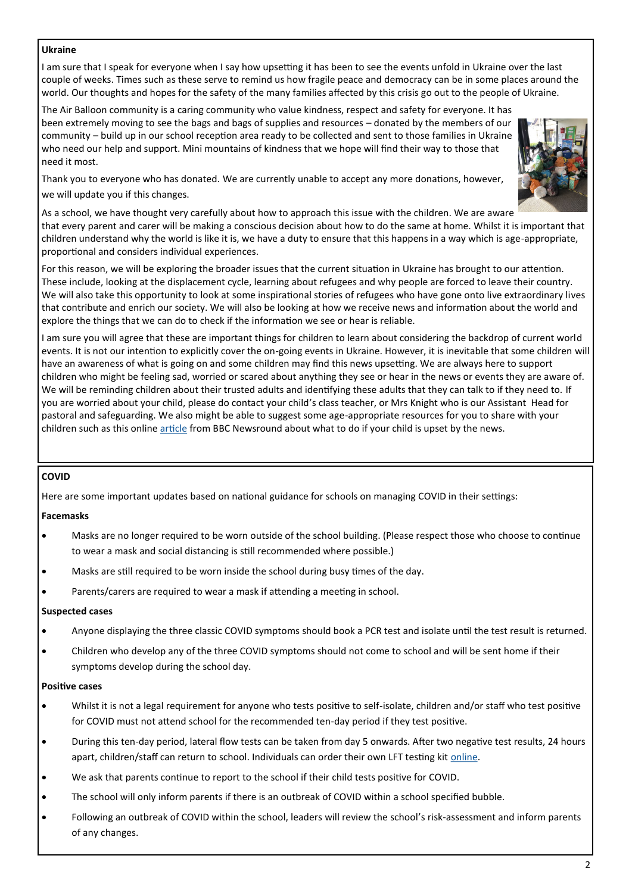#### **Ukraine**

I am sure that I speak for everyone when I say how upsetting it has been to see the events unfold in Ukraine over the last couple of weeks. Times such as these serve to remind us how fragile peace and democracy can be in some places around the world. Our thoughts and hopes for the safety of the many families affected by this crisis go out to the people of Ukraine.

The Air Balloon community is a caring community who value kindness, respect and safety for everyone. It has been extremely moving to see the bags and bags of supplies and resources – donated by the members of our community – build up in our school reception area ready to be collected and sent to those families in Ukraine who need our help and support. Mini mountains of kindness that we hope will find their way to those that need it most.



Thank you to everyone who has donated. We are currently unable to accept any more donations, however, we will update you if this changes.

As a school, we have thought very carefully about how to approach this issue with the children. We are aware that every parent and carer will be making a conscious decision about how to do the same at home. Whilst it is important that children understand why the world is like it is, we have a duty to ensure that this happens in a way which is age-appropriate, proportional and considers individual experiences.

For this reason, we will be exploring the broader issues that the current situation in Ukraine has brought to our attention. These include, looking at the displacement cycle, learning about refugees and why people are forced to leave their country. We will also take this opportunity to look at some inspirational stories of refugees who have gone onto live extraordinary lives that contribute and enrich our society. We will also be looking at how we receive news and information about the world and explore the things that we can do to check if the information we see or hear is reliable.

I am sure you will agree that these are important things for children to learn about considering the backdrop of current world events. It is not our intention to explicitly cover the on-going events in Ukraine. However, it is inevitable that some children will have an awareness of what is going on and some children may find this news upsetting. We are always here to support children who might be feeling sad, worried or scared about anything they see or hear in the news or events they are aware of. We will be reminding children about their trusted adults and identifying these adults that they can talk to if they need to. If you are worried about your child, please do contact your child's class teacher, or Mrs Knight who is our Assistant Head for pastoral and safeguarding. We also might be able to suggest some age-appropriate resources for you to share with your children such as this online [article](https://www.bbc.co.uk/newsround/13865002) from BBC Newsround about what to do if your child is upset by the news.

### **COVID**

Here are some important updates based on national guidance for schools on managing COVID in their settings:

## **Facemasks**

- Masks are no longer required to be worn outside of the school building. (Please respect those who choose to continue to wear a mask and social distancing is still recommended where possible.)
- Masks are still required to be worn inside the school during busy times of the day.
- Parents/carers are required to wear a mask if attending a meeting in school.

### **Suspected cases**

- Anyone displaying the three classic COVID symptoms should book a PCR test and isolate until the test result is returned.
- Children who develop any of the three COVID symptoms should not come to school and will be sent home if their symptoms develop during the school day.

### **Positive cases**

- Whilst it is not a legal requirement for anyone who tests positive to self-isolate, children and/or staff who test positive for COVID must not attend school for the recommended ten-day period if they test positive.
- During this ten-day period, lateral flow tests can be taken from day 5 onwards. After two negative test results, 24 hours apart, children/staff can return to school. Individuals can order their own LFT testing kit [online.](https://www.gov.uk/order-coronavirus-rapid-lateral-flow-tests)
- We ask that parents continue to report to the school if their child tests positive for COVID.
- The school will only inform parents if there is an outbreak of COVID within a school specified bubble.
- Following an outbreak of COVID within the school, leaders will review the school's risk-assessment and inform parents of any changes.